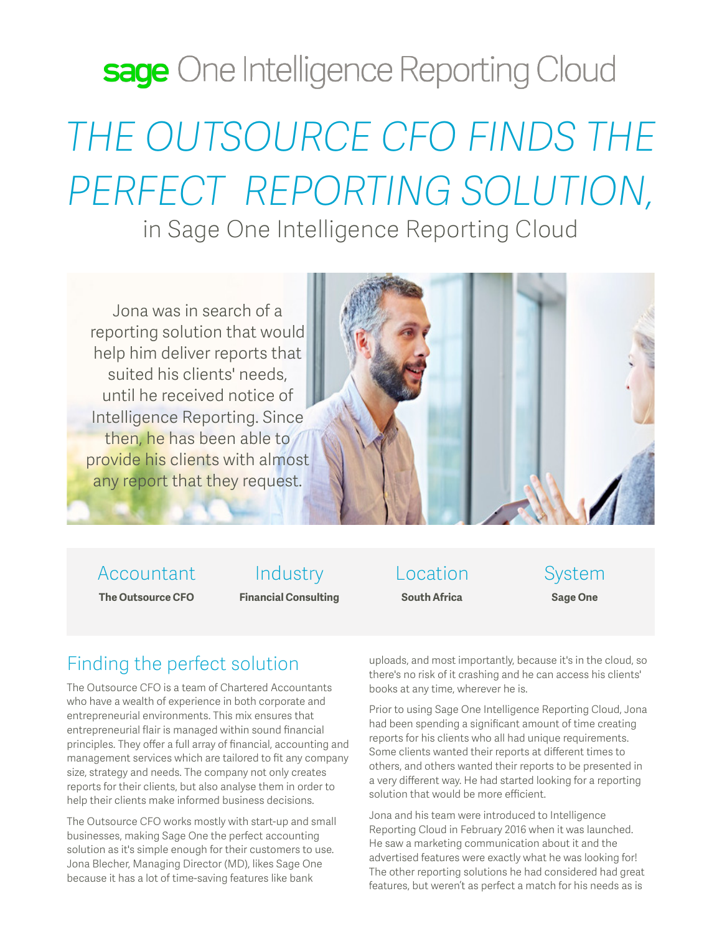# sage One Intelligence Reporting Cloud *THE OUTSOURCE CFO FINDS THE PERFECT REPORTING SOLUTION,*

### in Sage One Intelligence Reporting Cloud

Jona was in search of a reporting solution that would help him deliver reports that suited his clients' needs, until he received notice of Intelligence Reporting. Since then, he has been able to provide his clients with almost any report that they request.



Accountant

**The Outsource CFO**

Industry **Financial Consulting**

Location **South Africa**

System **Sage One**

#### Finding the perfect solution

The Outsource CFO is a team of Chartered Accountants who have a wealth of experience in both corporate and entrepreneurial environments. This mix ensures that entrepreneurial flair is managed within sound financial principles. They offer a full array of financial, accounting and management services which are tailored to fit any company size, strategy and needs. The company not only creates reports for their clients, but also analyse them in order to help their clients make informed business decisions.

The Outsource CFO works mostly with start-up and small businesses, making Sage One the perfect accounting solution as it's simple enough for their customers to use. Jona Blecher, Managing Director (MD), likes Sage One because it has a lot of time-saving features like bank

uploads, and most importantly, because it's in the cloud, so there's no risk of it crashing and he can access his clients' books at any time, wherever he is.

Prior to using Sage One Intelligence Reporting Cloud, Jona had been spending a significant amount of time creating reports for his clients who all had unique requirements. Some clients wanted their reports at different times to others, and others wanted their reports to be presented in a very different way. He had started looking for a reporting solution that would be more efficient.

Jona and his team were introduced to Intelligence Reporting Cloud in February 2016 when it was launched. He saw a marketing communication about it and the advertised features were exactly what he was looking for! The other reporting solutions he had considered had great features, but weren't as perfect a match for his needs as is